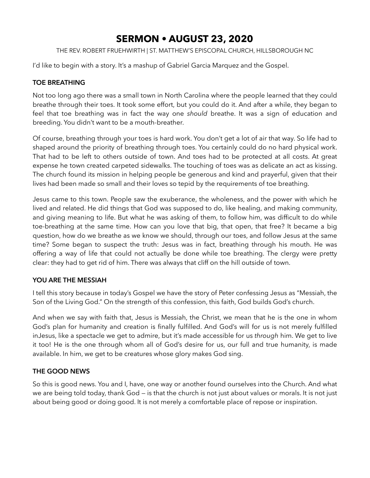# **SERMON • AUGUST 23, 2020**

THE REV. ROBERT FRUEHWIRTH | ST. MATTHEW'S EPISCOPAL CHURCH, HILLSBOROUGH NC

I'd like to begin with a story. It's a mashup of Gabriel Garcia Marquez and the Gospel.

## **TOE BREATHING**

Not too long ago there was a small town in North Carolina where the people learned that they could breathe through their toes. It took some effort, but you could do it. And after a while, they began to feel that toe breathing was in fact the way one *should* breathe. It was a sign of education and breeding. You didn't want to be a mouth-breather.

Of course, breathing through your toes is hard work. You don't get a lot of air that way. So life had to shaped around the priority of breathing through toes. You certainly could do no hard physical work. That had to be left to others outside of town. And toes had to be protected at all costs. At great expense he town created carpeted sidewalks. The touching of toes was as delicate an act as kissing. The church found its mission in helping people be generous and kind and prayerful, given that their lives had been made so small and their loves so tepid by the requirements of toe breathing.

Jesus came to this town. People saw the exuberance, the wholeness, and the power with which he lived and related. He did things that God was supposed to do, like healing, and making community, and giving meaning to life. But what he was asking of them, to follow him, was difficult to do while toe-breathing at the same time. How can you love that big, that open, that free? It became a big question, how do we breathe as we know we should, through our toes, and follow Jesus at the same time? Some began to suspect the truth: Jesus was in fact, breathing through his mouth. He was offering a way of life that could not actually be done while toe breathing. The clergy were pretty clear: they had to get rid of him. There was always that cliff on the hill outside of town.

#### **YOU ARE THE MESSIAH**

I tell this story because in today's Gospel we have the story of Peter confessing Jesus as "Messiah, the Son of the Living God." On the strength of this confession, this faith, God builds God's church.

And when we say with faith that, Jesus is Messiah, the Christ, we mean that he is the one in whom God's plan for humanity and creation is finally fulfilled. And God's will for us is not merely fulfilled inJesus, like a spectacle we get to admire, but it's made accessible for us *through* him. We get to live it too! He is the one through whom all of God's desire for us, our full and true humanity, is made available. In him, we get to be creatures whose glory makes God sing.

#### **THE GOOD NEWS**

So this is good news. You and I, have, one way or another found ourselves into the Church. And what we are being told today, thank God — is that the church is not just about values or morals. It is not just about being good or doing good. It is not merely a comfortable place of repose or inspiration.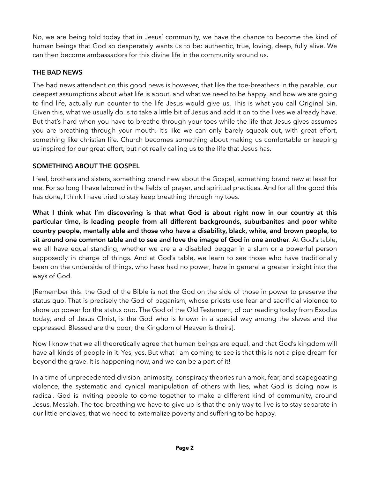No, we are being told today that in Jesus' community, we have the chance to become the kind of human beings that God so desperately wants us to be: authentic, true, loving, deep, fully alive. We can then become ambassadors for this divine life in the community around us.

## **THE BAD NEWS**

The bad news attendant on this good news is however, that like the toe-breathers in the parable, our deepest assumptions about what life is about, and what we need to be happy, and how we are going to find life, actually run counter to the life Jesus would give us. This is what you call Original Sin. Given this, what we usually do is to take a little bit of Jesus and add it on to the lives we already have. But that's hard when you have to breathe through your toes while the life that Jesus gives assumes you are breathing through your mouth. It's like we can only barely squeak out, with great effort, something like christian life. Church becomes something about making us comfortable or keeping us inspired for our great effort, but not really calling us to the life that Jesus has.

## **SOMETHING ABOUT THE GOSPEL**

I feel, brothers and sisters, something brand new about the Gospel, something brand new at least for me. For so long I have labored in the fields of prayer, and spiritual practices. And for all the good this has done, I think I have tried to stay keep breathing through my toes.

**What I think what I'm discovering is that what God is about right now in our country at this particular time, is leading people from all different backgrounds, suburbanites and poor white country people, mentally able and those who have a disability, black, white, and brown people, to sit around one common table and to see and love the image of God in one another**. At God's table, we all have equal standing, whether we are a a disabled beggar in a slum or a powerful person supposedly in charge of things. And at God's table, we learn to see those who have traditionally been on the underside of things, who have had no power, have in general a greater insight into the ways of God.

[Remember this: the God of the Bible is not the God on the side of those in power to preserve the status quo. That is precisely the God of paganism, whose priests use fear and sacrificial violence to shore up power for the status quo. The God of the Old Testament, of our reading today from Exodus today, and of Jesus Christ, is the God who is known in a special way among the slaves and the oppressed. Blessed are the poor; the Kingdom of Heaven is theirs].

Now I know that we all theoretically agree that human beings are equal, and that God's kingdom will have all kinds of people in it. Yes, yes. But what I am coming to see is that this is not a pipe dream for beyond the grave. It is happening now, and we can be a part of it!

In a time of unprecedented division, animosity, conspiracy theories run amok, fear, and scapegoating violence, the systematic and cynical manipulation of others with lies, what God is doing now is radical. God is inviting people to come together to make a different kind of community, around Jesus, Messiah. The toe-breathing we have to give up is that the only way to live is to stay separate in our little enclaves, that we need to externalize poverty and suffering to be happy.